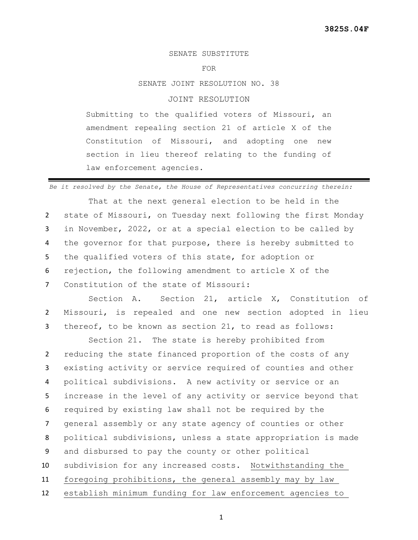## SENATE SUBSTITUTE

FOR

SENATE JOINT RESOLUTION NO. 38

## JOINT RESOLUTION

Submitting to the qualified voters of Missouri, an amendment repealing section 21 of article X of the Constitution of Missouri, and adopting one new section in lieu thereof relating to the funding of law enforcement agencies.

*Be it resolved by the Senate, the House of Representatives concurring therein:*

That at the next general election to be held in the state of Missouri, on Tuesday next following the first Monday in November, 2022, or at a special election to be called by the governor for that purpose, there is hereby submitted to the qualified voters of this state, for adoption or rejection, the following amendment to article X of the Constitution of the state of Missouri:

Section A. Section 21, article X, Constitution of 2 Missouri, is repealed and one new section adopted in lieu 3 thereof, to be known as section 21, to read as follows:

Section 21. The state is hereby prohibited from reducing the state financed proportion of the costs of any existing activity or service required of counties and other political subdivisions. A new activity or service or an increase in the level of any activity or service beyond that required by existing law shall not be required by the general assembly or any state agency of counties or other political subdivisions, unless a state appropriation is made and disbursed to pay the county or other political subdivision for any increased costs. Notwithstanding the foregoing prohibitions, the general assembly may by law establish minimum funding for law enforcement agencies to